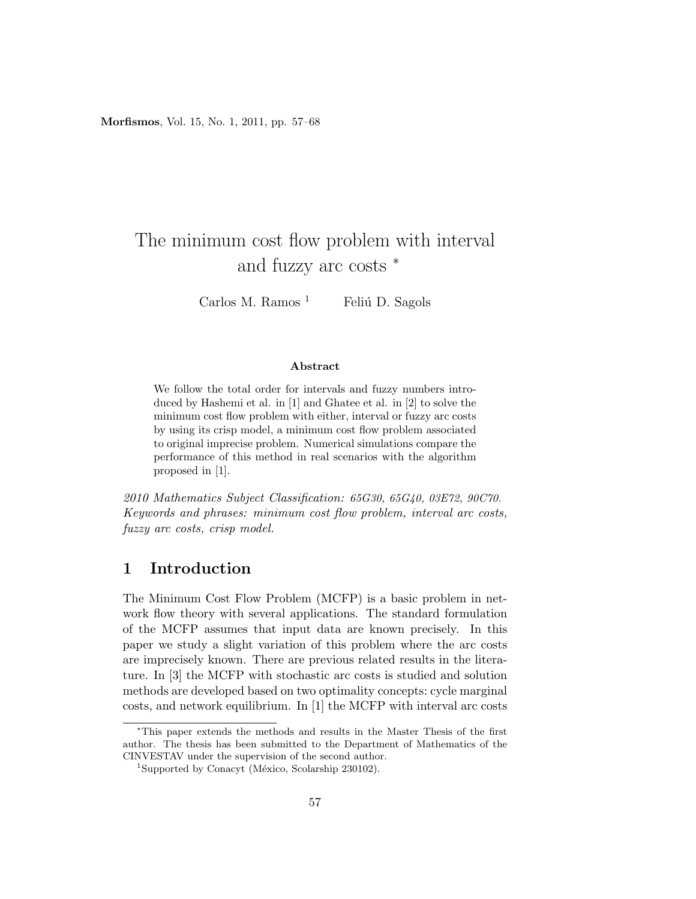Morfismos, Vol. 15, No. 1, 2011, pp. 57–68

# The minimum cost flow problem with interval and fuzzy arc costs <sup>∗</sup>

Carlos M. Ramos<sup>1</sup> Feliú D. Sagols

#### Abstract

We follow the total order for intervals and fuzzy numbers introduced by Hashemi et al. in [1] and Ghatee et al. in [2] to solve the minimum cost flow problem with either, interval or fuzzy arc costs by using its crisp model, a minimum cost flow problem associated to original imprecise problem. Numerical simulations compare the performance of this method in real scenarios with the algorithm proposed in [1].

2010 Mathematics Subject Classification: 65G30, 65G40, 03E72, 90C70. Keywords and phrases: minimum cost flow problem, interval arc costs, fuzzy arc costs, crisp model.

# 1 Introduction

The Minimum Cost Flow Problem (MCFP) is a basic problem in network flow theory with several applications. The standard formulation of the MCFP assumes that input data are known precisely. In this paper we study a slight variation of this problem where the arc costs are imprecisely known. There are previous related results in the literature. In [3] the MCFP with stochastic arc costs is studied and solution methods are developed based on two optimality concepts: cycle marginal costs, and network equilibrium. In [1] the MCFP with interval arc costs

<sup>∗</sup>This paper extends the methods and results in the Master Thesis of the first author. The thesis has been submitted to the Department of Mathematics of the CINVESTAV under the supervision of the second author.

<sup>&</sup>lt;sup>1</sup>Supported by Conacyt (México, Scolarship 230102).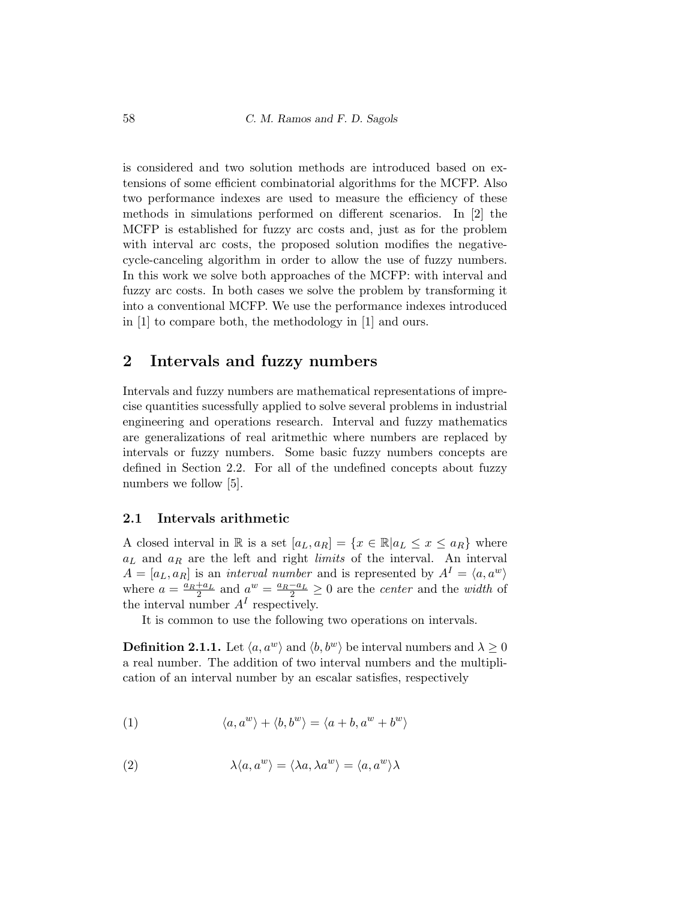is considered and two solution methods are introduced based on extensions of some efficient combinatorial algorithms for the MCFP. Also two performance indexes are used to measure the efficiency of these methods in simulations performed on different scenarios. In [2] the MCFP is established for fuzzy arc costs and, just as for the problem with interval arc costs, the proposed solution modifies the negativecycle-canceling algorithm in order to allow the use of fuzzy numbers. In this work we solve both approaches of the MCFP: with interval and fuzzy arc costs. In both cases we solve the problem by transforming it into a conventional MCFP. We use the performance indexes introduced in [1] to compare both, the methodology in [1] and ours.

# 2 Intervals and fuzzy numbers

Intervals and fuzzy numbers are mathematical representations of imprecise quantities sucessfully applied to solve several problems in industrial engineering and operations research. Interval and fuzzy mathematics are generalizations of real aritmethic where numbers are replaced by intervals or fuzzy numbers. Some basic fuzzy numbers concepts are defined in Section 2.2. For all of the undefined concepts about fuzzy numbers we follow [5].

#### 2.1 Intervals arithmetic

A closed interval in R is a set  $[a_L, a_R] = \{x \in \mathbb{R} | a_L \le x \le a_R\}$  where  $a<sub>L</sub>$  and  $a<sub>R</sub>$  are the left and right *limits* of the interval. An interval  $A = [a_L, a_R]$  is an *interval number* and is represented by  $A^I = \langle a, a^w \rangle$ where  $a = \frac{a_R + a_L}{2}$  and  $a^w = \frac{a_R - a_L}{2} \ge 0$  are the *center* and the *width* of the interval number  $A<sup>I</sup>$  respectively.

It is common to use the following two operations on intervals.

**Definition 2.1.1.** Let  $\langle a, a^w \rangle$  and  $\langle b, b^w \rangle$  be interval numbers and  $\lambda \geq 0$ a real number. The addition of two interval numbers and the multiplication of an interval number by an escalar satisfies, respectively

(1) 
$$
\langle a, a^w \rangle + \langle b, b^w \rangle = \langle a + b, a^w + b^w \rangle
$$

(2) 
$$
\lambda \langle a, a^w \rangle = \langle \lambda a, \lambda a^w \rangle = \langle a, a^w \rangle \lambda
$$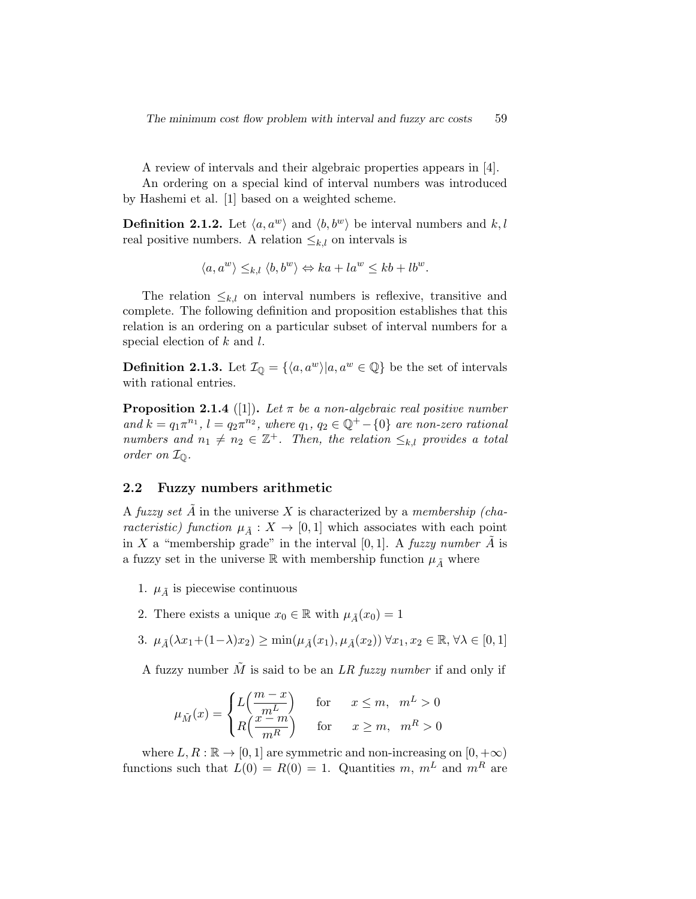A review of intervals and their algebraic properties appears in [4].

An ordering on a special kind of interval numbers was introduced by Hashemi et al. [1] based on a weighted scheme.

**Definition 2.1.2.** Let  $\langle a, a^w \rangle$  and  $\langle b, b^w \rangle$  be interval numbers and k, l real positive numbers. A relation  $\leq_{k,l}$  on intervals is

$$
\langle a, a^w \rangle \leq_{k,l} \langle b, b^w \rangle \Leftrightarrow ka + la^w \leq kb + lb^w.
$$

The relation  $\leq_{k,l}$  on interval numbers is reflexive, transitive and complete. The following definition and proposition establishes that this relation is an ordering on a particular subset of interval numbers for a special election of  $k$  and  $l$ .

**Definition 2.1.3.** Let  $\mathcal{I}_{\mathbb{Q}} = \{\langle a, a^w \rangle | a, a^w \in \mathbb{Q}\}\$  be the set of intervals with rational entries.

**Proposition 2.1.4** ([1]). Let  $\pi$  be a non-algebraic real positive number and  $k = q_1 \pi^{n_1}$ ,  $l = q_2 \pi^{n_2}$ , where  $q_1, q_2 \in \mathbb{Q}^+ - \{0\}$  are non-zero rational numbers and  $n_1 \neq n_2 \in \mathbb{Z}^+$ . Then, the relation  $\leq_{k,l}$  provides a total order on IQ.

#### 2.2 Fuzzy numbers arithmetic

A fuzzy set A in the universe X is characterized by a membership (characteristic) function  $\mu_{\tilde{A}} : X \to [0,1]$  which associates with each point in X a "membership grade" in the interval [0, 1]. A fuzzy number  $\overline{A}$  is a fuzzy set in the universe R with membership function  $\mu_{\tilde{A}}$  where

- 1.  $\mu_{\tilde{A}}$  is piecewise continuous
- 2. There exists a unique  $x_0 \in \mathbb{R}$  with  $\mu_{\tilde{A}}(x_0) = 1$
- 3.  $\mu_{\tilde{A}}(\lambda x_1+(1-\lambda)x_2) \ge \min(\mu_{\tilde{A}}(x_1), \mu_{\tilde{A}}(x_2)) \,\forall x_1, x_2 \in \mathbb{R}, \forall \lambda \in [0,1]$

A fuzzy number  $\tilde{M}$  is said to be an LR fuzzy number if and only if

$$
\mu_{\tilde{M}}(x) = \begin{cases} L\left(\frac{m-x}{m^L}\right) & \text{for} \quad x \le m, \ m^L > 0 \\ R\left(\frac{x-m}{m^R}\right) & \text{for} \quad x \ge m, \ m^R > 0 \end{cases}
$$

where  $L, R : \mathbb{R} \to [0, 1]$  are symmetric and non-increasing on  $[0, +\infty)$ functions such that  $L(0) = R(0) = 1$ . Quantities m,  $m<sup>L</sup>$  and  $m<sup>R</sup>$  are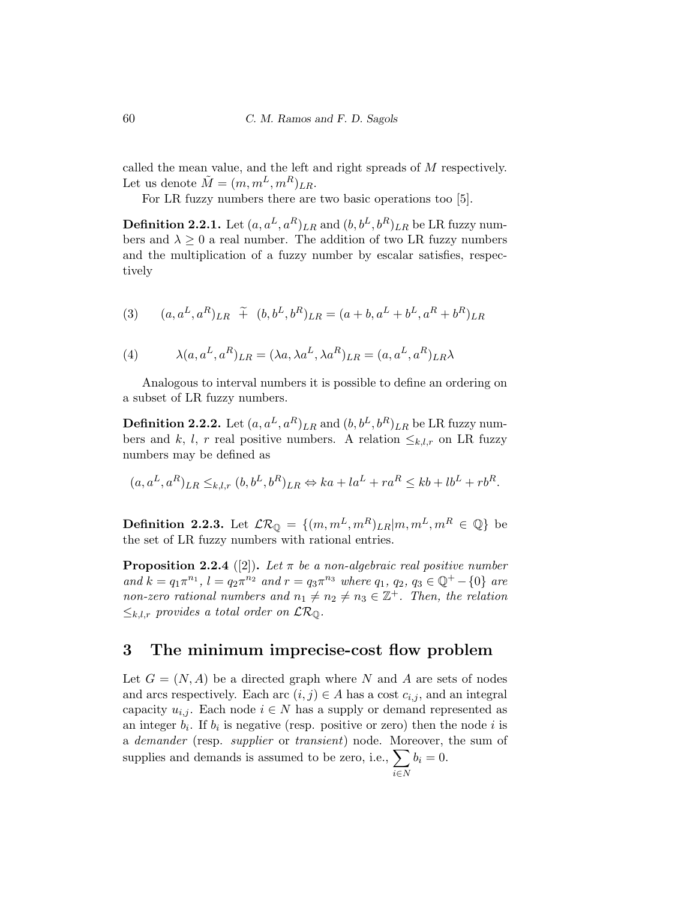called the mean value, and the left and right spreads of M respectively. Let us denote  $\tilde{M} = (m, m^L, m^R)_{LR}$ .

For LR fuzzy numbers there are two basic operations too [5].

**Definition 2.2.1.** Let  $(a, a^L, a^R)_{LR}$  and  $(b, b^L, b^R)_{LR}$  be LR fuzzy numbers and  $\lambda \geq 0$  a real number. The addition of two LR fuzzy numbers and the multiplication of a fuzzy number by escalar satisfies, respectively

(3) 
$$
(a, a^L, a^R)_{LR} \tilde{+} (b, b^L, b^R)_{LR} = (a + b, a^L + b^L, a^R + b^R)_{LR}
$$

(4) 
$$
\lambda(a, a^L, a^R)_{LR} = (\lambda a, \lambda a^L, \lambda a^R)_{LR} = (a, a^L, a^R)_{LR}\lambda
$$

Analogous to interval numbers it is possible to define an ordering on a subset of LR fuzzy numbers.

**Definition 2.2.2.** Let  $(a, a^L, a^R)_{LR}$  and  $(b, b^L, b^R)_{LR}$  be LR fuzzy numbers and k, l, r real positive numbers. A relation  $\leq_{k,l,r}$  on LR fuzzy numbers may be defined as

$$
(a, a^L, a^R)_{LR} \leq_{k,l,r} (b, b^L, b^R)_{LR} \Leftrightarrow ka + la^L + ra^R \leq kb + lb^L + rb^R.
$$

**Definition 2.2.3.** Let  $\mathcal{LR}_{\mathbb{Q}} = \{(m, m^L, m^R)_{LR} | m, m^L, m^R \in \mathbb{Q}\}\)$ the set of LR fuzzy numbers with rational entries.

**Proposition 2.2.4** ([2]). Let  $\pi$  be a non-algebraic real positive number and  $k = q_1 \pi^{n_1}$ ,  $l = q_2 \pi^{n_2}$  and  $r = q_3 \pi^{n_3}$  where  $q_1, q_2, q_3 \in \mathbb{Q}^+ - \{0\}$  are non-zero rational numbers and  $n_1 \neq n_2 \neq n_3 \in \mathbb{Z}^+$ . Then, the relation  $\leq_{k,l,r}$  provides a total order on  $\mathcal{LR}_{\mathbb{Q}}$ .

### 3 The minimum imprecise-cost flow problem

Let  $G = (N, A)$  be a directed graph where N and A are sets of nodes and arcs respectively. Each arc  $(i, j) \in A$  has a cost  $c_{i,j}$ , and an integral capacity  $u_{i,j}$ . Each node  $i \in N$  has a supply or demand represented as an integer  $b_i$ . If  $b_i$  is negative (resp. positive or zero) then the node i is a demander (resp. supplier or transient) node. Moreover, the sum of supplies and demands is assumed to be zero, i.e.,  $\sum$ i∈N  $b_i = 0.$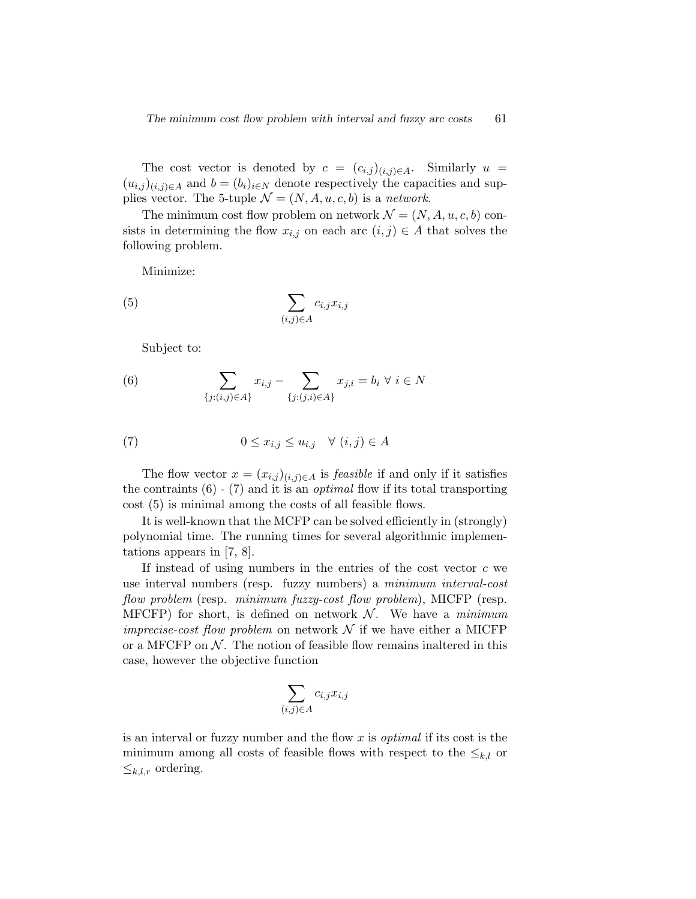The cost vector is denoted by  $c = (c_{i,j})_{(i,j)\in A}$ . Similarly  $u =$  $(u_{i,j})_{(i,j)\in A}$  and  $b=(b_i)_{i\in N}$  denote respectively the capacities and supplies vector. The 5-tuple  $\mathcal{N} = (N, A, u, c, b)$  is a network.

The minimum cost flow problem on network  $\mathcal{N} = (N, A, u, c, b)$  consists in determining the flow  $x_{i,j}$  on each arc  $(i, j) \in A$  that solves the following problem.

Minimize:

$$
(5) \qquad \qquad \sum_{(i,j)\in A} c_{i,j} x_{i,j}
$$

Subject to:

(6) 
$$
\sum_{\{j:(i,j)\in A\}} x_{i,j} - \sum_{\{j:(j,i)\in A\}} x_{j,i} = b_i \ \forall \ i \in N
$$

(7) 
$$
0 \le x_{i,j} \le u_{i,j} \quad \forall (i,j) \in A
$$

The flow vector  $x = (x_{i,j})_{(i,j)\in A}$  is *feasible* if and only if it satisfies the contraints  $(6)$  -  $(7)$  and it is an *optimal* flow if its total transporting cost (5) is minimal among the costs of all feasible flows.

It is well-known that the MCFP can be solved efficiently in (strongly) polynomial time. The running times for several algorithmic implementations appears in [7, 8].

If instead of using numbers in the entries of the cost vector  $c$  we use interval numbers (resp. fuzzy numbers) a minimum interval-cost flow problem (resp. minimum fuzzy-cost flow problem), MICFP (resp. MFCFP) for short, is defined on network  $\mathcal N$ . We have a minimum *imprecise-cost flow problem* on network  $N$  if we have either a MICFP or a MFCFP on  $\mathcal N$ . The notion of feasible flow remains inaltered in this case, however the objective function

$$
\sum_{(i,j)\in A} c_{i,j} x_{i,j}
$$

is an interval or fuzzy number and the flow  $x$  is *optimal* if its cost is the minimum among all costs of feasible flows with respect to the  $\leq_{k,l}$  or  $\leq_{k,l,r}$  ordering.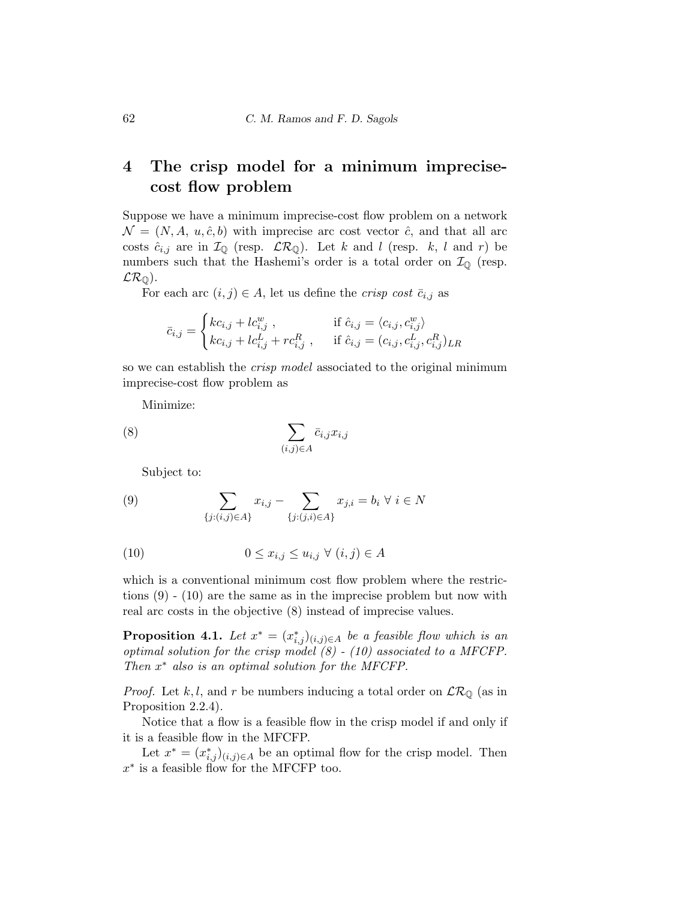# 4 The crisp model for a minimum imprecisecost flow problem

Suppose we have a minimum imprecise-cost flow problem on a network  $\mathcal{N} = (N, A, u, \hat{c}, b)$  with imprecise arc cost vector  $\hat{c}$ , and that all arc costs  $\hat{c}_{i,j}$  are in  $\mathcal{I}_{\mathbb{Q}}$  (resp.  $\mathcal{LR}_{\mathbb{Q}}$ ). Let k and l (resp. k, l and r) be numbers such that the Hashemi's order is a total order on  $\mathcal{I}_{\mathbb{Q}}$  (resp.  $LR_{\mathbb{Q}}$ ).

For each arc  $(i, j) \in A$ , let us define the *crisp cost*  $\bar{c}_{i,j}$  as

$$
\bar{c}_{i,j} = \begin{cases}\nkc_{i,j} + lc_{i,j}^w, & \text{if } \hat{c}_{i,j} = \langle c_{i,j}, c_{i,j}^w \rangle \\
kc_{i,j} + lc_{i,j}^L + rc_{i,j}^R, & \text{if } \hat{c}_{i,j} = (c_{i,j}, c_{i,j}^L, c_{i,j}^R)_{LR}\n\end{cases}
$$

so we can establish the crisp model associated to the original minimum imprecise-cost flow problem as

Minimize:

$$
(8) \qquad \qquad \sum_{(i,j)\in A} \bar{c}_{i,j} x_{i,j}
$$

Subject to:

(9) 
$$
\sum_{\{j:(i,j)\in A\}} x_{i,j} - \sum_{\{j:(j,i)\in A\}} x_{j,i} = b_i \ \forall \ i \in N
$$

$$
(10) \t\t\t 0 \le x_{i,j} \le u_{i,j} \ \forall \ (i,j) \in A
$$

which is a conventional minimum cost flow problem where the restrictions (9) - (10) are the same as in the imprecise problem but now with real arc costs in the objective (8) instead of imprecise values.

**Proposition 4.1.** Let  $x^* = (x^*_{i,j})_{(i,j)\in A}$  be a feasible flow which is an optimal solution for the crisp model  $(8)$  -  $(10)$  associated to a MFCFP. Then  $x^*$  also is an optimal solution for the MFCFP.

*Proof.* Let k, l, and r be numbers inducing a total order on  $\mathcal{LR}_{\mathbb{Q}}$  (as in Proposition 2.2.4).

Notice that a flow is a feasible flow in the crisp model if and only if it is a feasible flow in the MFCFP.

Let  $x^* = (x^*_{i,j})_{(i,j)\in A}$  be an optimal flow for the crisp model. Then  $x^*$  is a feasible flow for the MFCFP too.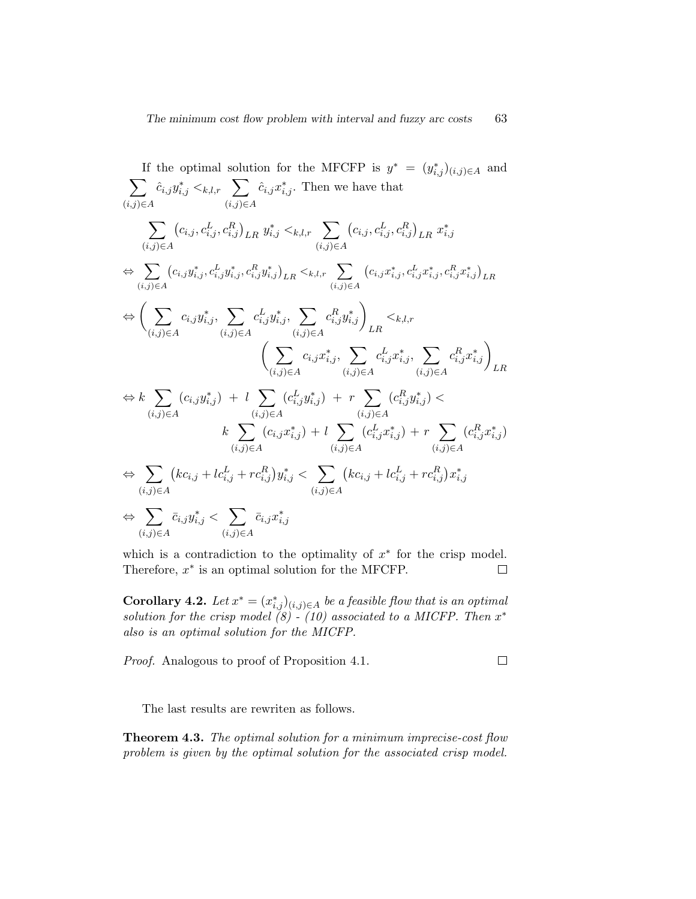If the optimal solution for the MFCFP is 
$$
y^* = (y_{i,j}^*)_{(i,j)\in A}
$$
 and  
\n
$$
\sum_{(i,j)\in A} \hat{c}_{i,j} y_{i,j}^* \leq_{k,l,r} \sum_{(i,j)\in A} \hat{c}_{i,j} x_{i,j}^*.
$$
 Then we have that  
\n
$$
\sum_{(i,j)\in A} (c_{i,j}, c_{i,j}^L, c_{i,j}^R)_{LR} y_{i,j}^* \leq_{k,l,r} \sum_{(i,j)\in A} (c_{i,j}, c_{i,j}^L, c_{i,j}^R)_{LR} x_{i,j}^*
$$
\n
$$
\Leftrightarrow \sum_{(i,j)\in A} (c_{i,j} y_{i,j}^*, c_{i,j}^L y_{i,j}^*, c_{i,j}^R y_{i,j}^*)_{LR} \leq_{k,l,r} \sum_{(i,j)\in A} (c_{i,j} x_{i,j}^*, c_{i,j}^L x_{i,j}^*, c_{i,j}^R x_{i,j}^*)_{LR}
$$
\n
$$
\Leftrightarrow \left( \sum_{(i,j)\in A} c_{i,j} y_{i,j}^*, \sum_{(i,j)\in A} c_{i,j}^L y_{i,j}^*, \sum_{(i,j)\in A} c_{i,j}^R y_{i,j}^* \right)_{LR} \leq_{k,l,r}
$$
\n
$$
\left( \sum_{(i,j)\in A} c_{i,j} x_{i,j}^*, \sum_{(i,j)\in A} c_{i,j}^L x_{i,j}^*, \sum_{(i,j)\in A} c_{i,j}^L x_{i,j}^* \right)_{LR}
$$
\n
$$
\Leftrightarrow k \sum_{(i,j)\in A} (c_{i,j} y_{i,j}^*) + l \sum_{(i,j)\in A} (c_{i,j}^L y_{i,j}^*) + r \sum_{(i,j)\in A} (c_{i,j}^R y_{i,j}^*) \leq_{(i,j)\in A}
$$
\n
$$
\Leftrightarrow \sum_{(i,j)\in A} (kc_{i,j} + lc_{i,j}^L + rc_{i,j}^R) y_{i,j}^* \leq \sum_{(i,j)\in A} (kc_{i,j} + lc_{i,j}^L + rc_{i,j}^R) x_{i,j}^*
$$
\n
$$
\Leftrightarrow \sum_{(i,j)\in A} \bar{c}_{i,j} y_{i,j}^* \leq \sum
$$

which is a contradiction to the optimality of  $x^*$  for the crisp model. Therefore,  $x^*$  is an optimal solution for the MFCFP.  $\Box$ 

**Corollary 4.2.** Let  $x^* = (x^*_{i,j})_{(i,j)\in A}$  be a feasible flow that is an optimal solution for the crisp model  $(8) - (10)$  associated to a MICFP. Then  $x^*$ also is an optimal solution for the MICFP.

Proof. Analogous to proof of Proposition 4.1.  $\Box$ 

The last results are rewriten as follows.

Theorem 4.3. The optimal solution for a minimum imprecise-cost flow problem is given by the optimal solution for the associated crisp model.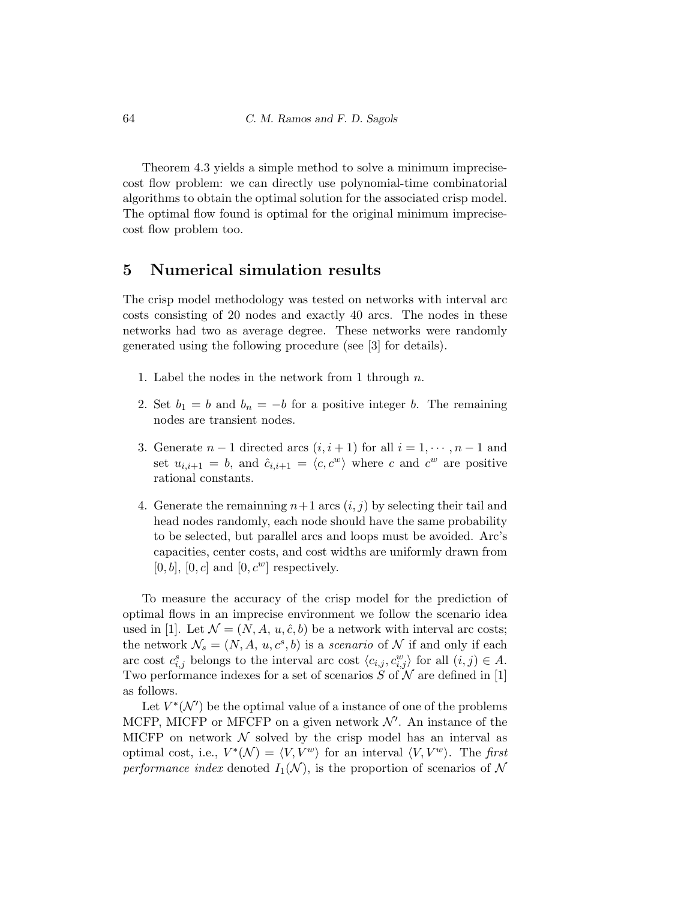Theorem 4.3 yields a simple method to solve a minimum imprecisecost flow problem: we can directly use polynomial-time combinatorial algorithms to obtain the optimal solution for the associated crisp model. The optimal flow found is optimal for the original minimum imprecisecost flow problem too.

# 5 Numerical simulation results

The crisp model methodology was tested on networks with interval arc costs consisting of 20 nodes and exactly 40 arcs. The nodes in these networks had two as average degree. These networks were randomly generated using the following procedure (see [3] for details).

- 1. Label the nodes in the network from 1 through  $n$ .
- 2. Set  $b_1 = b$  and  $b_n = -b$  for a positive integer b. The remaining nodes are transient nodes.
- 3. Generate  $n-1$  directed arcs  $(i, i+1)$  for all  $i = 1, \dots, n-1$  and set  $u_{i,i+1} = b$ , and  $\hat{c}_{i,i+1} = \langle c, c^w \rangle$  where c and  $c^w$  are positive rational constants.
- 4. Generate the remaining  $n+1$  arcs  $(i, j)$  by selecting their tail and head nodes randomly, each node should have the same probability to be selected, but parallel arcs and loops must be avoided. Arc's capacities, center costs, and cost widths are uniformly drawn from  $[0, b]$ ,  $[0, c]$  and  $[0, c<sup>w</sup>]$  respectively.

To measure the accuracy of the crisp model for the prediction of optimal flows in an imprecise environment we follow the scenario idea used in [1]. Let  $\mathcal{N} = (N, A, u, \hat{c}, b)$  be a network with interval arc costs; the network  $\mathcal{N}_s = (N, A, u, c^s, b)$  is a scenario of  $\mathcal N$  if and only if each arc cost  $c_{i,j}^s$  belongs to the interval arc cost  $\langle c_{i,j}, c_{i,j}^w \rangle$  for all  $(i,j) \in A$ . Two performance indexes for a set of scenarios S of  $\mathcal N$  are defined in [1] as follows.

Let  $V^*(\mathcal{N}')$  be the optimal value of a instance of one of the problems MCFP, MICFP or MFCFP on a given network  $\mathcal{N}'$ . An instance of the MICFP on network  $\mathcal N$  solved by the crisp model has an interval as optimal cost, i.e.,  $V^*(\mathcal{N}) = \langle V, V^w \rangle$  for an interval  $\langle V, V^w \rangle$ . The first performance index denoted  $I_1(\mathcal{N})$ , is the proportion of scenarios of N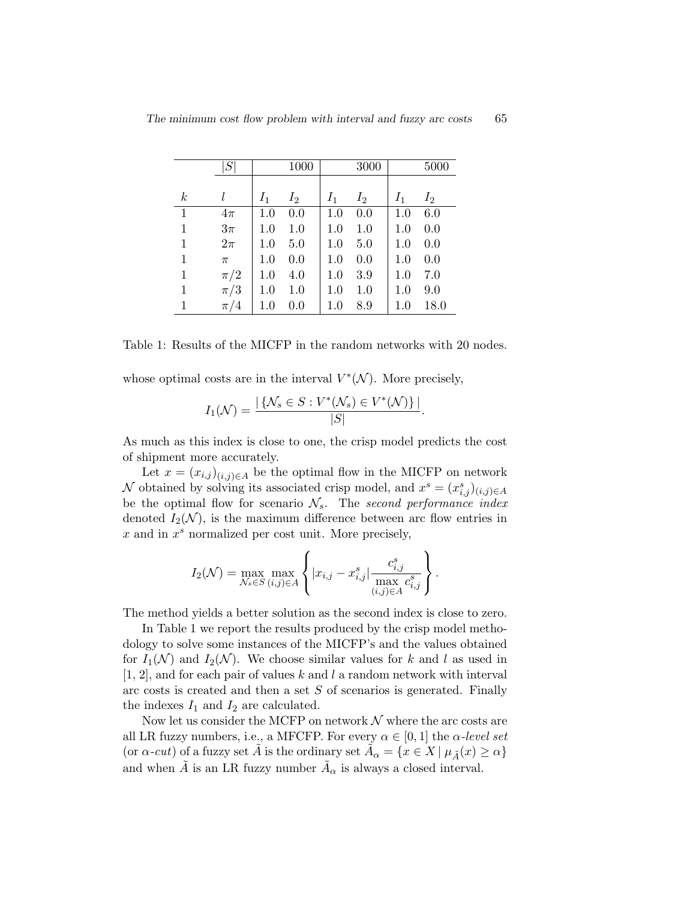|                  | S       |       | 1000  |       | 3000  |       | 5000  |
|------------------|---------|-------|-------|-------|-------|-------|-------|
|                  |         |       |       |       |       |       |       |
| $\boldsymbol{k}$ |         | $I_1$ | $I_2$ | $I_1$ | $I_2$ | $I_1$ | $I_2$ |
| $\mathbf{1}$     | $4\pi$  | 1.0   | 0.0   | 1.0   | 0.0   | 1.0   | 6.0   |
| $\mathbf{1}$     | $3\pi$  | 1.0   | 1.0   | 1.0   | 1.0   | 1.0   | 0.0   |
| 1                | $2\pi$  | 1.0   | 5.0   | 1.0   | 5.0   | 1.0   | 0.0   |
| 1                | $\pi$   | 1.0   | 0.0   | 1.0   | 0.0   | 1.0   | 0.0   |
| $\mathbf{1}$     | $\pi/2$ | 1.0   | 4.0   | 1.0   | 3.9   | 1.0   | 7.0   |
| 1                | $\pi/3$ | 1.0   | 1.0   | 1.0   | 1.0   | 1.0   | 9.0   |
| 1                | $\pi/4$ | 1.0   | 0.0   | 1.0   | 8.9   | 1.0   | 18.0  |

Table 1: Results of the MICFP in the random networks with 20 nodes.

whose optimal costs are in the interval  $V^*(\mathcal{N})$ . More precisely,

$$
I_1(\mathcal{N}) = \frac{|\left\{\mathcal{N}_s \in S : V^*(\mathcal{N}_s) \in V^*(\mathcal{N})\right\}|}{|S|}.
$$

As much as this index is close to one, the crisp model predicts the cost of shipment more accurately.

Let  $x = (x_{i,j})_{(i,j)\in A}$  be the optimal flow in the MICFP on network N obtained by solving its associated crisp model, and  $x^s = (x^s_{i,j})_{(i,j)\in A}$ be the optimal flow for scenario  $\mathcal{N}_s$ . The second performance index denoted  $I_2(\mathcal{N})$ , is the maximum difference between arc flow entries in  $x$  and in  $x^s$  normalized per cost unit. More precisely,

$$
I_2(\mathcal{N}) = \max_{\mathcal{N}_s \in S} \max_{(i,j) \in A} \left\{ |x_{i,j} - x_{i,j}^s| \frac{c_{i,j}^s}{\max_{(i,j) \in A} c_{i,j}^s} \right\}.
$$

The method yields a better solution as the second index is close to zero.

In Table 1 we report the results produced by the crisp model methodology to solve some instances of the MICFP's and the values obtained for  $I_1(\mathcal{N})$  and  $I_2(\mathcal{N})$ . We choose similar values for k and l as used in  $[1, 2]$ , and for each pair of values k and l a random network with interval arc costs is created and then a set  $S$  of scenarios is generated. Finally the indexes  $I_1$  and  $I_2$  are calculated.

Now let us consider the MCFP on network  $\mathcal N$  where the arc costs are all LR fuzzy numbers, i.e., a MFCFP. For every  $\alpha \in [0,1]$  the  $\alpha$ -level set (or  $\alpha$ -cut) of a fuzzy set  $\tilde{A}$  is the ordinary set  $\tilde{A}_{\alpha} = \{x \in X | \mu_{\tilde{A}}(x) \ge \alpha\}$ and when  $\tilde{A}$  is an LR fuzzy number  $\tilde{A}_{\alpha}$  is always a closed interval.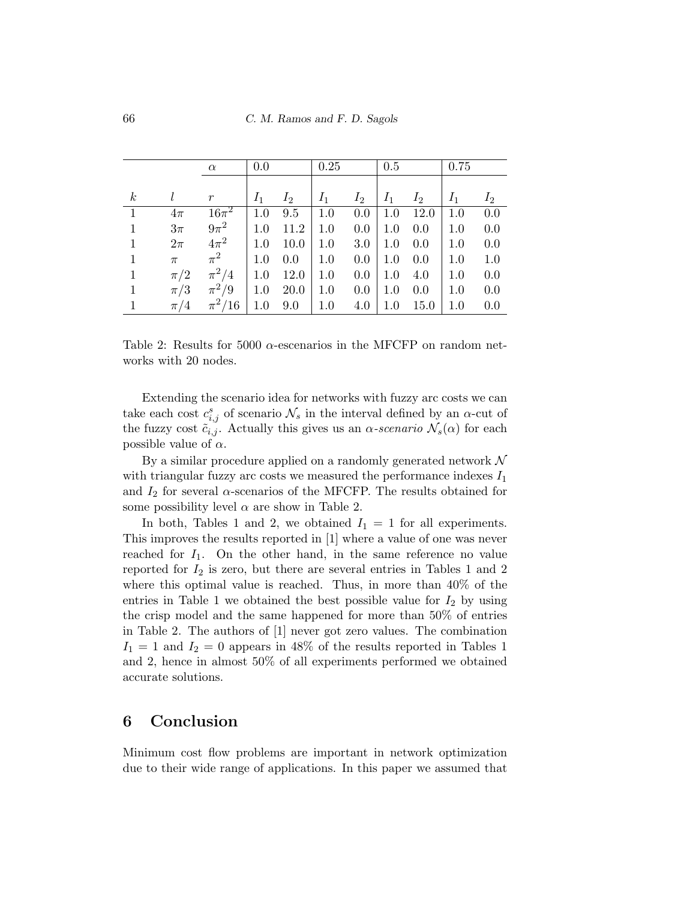|                  |         | $\alpha$         | 0.0   |       | 0.25  |       | 0.5     |       | 0.75  |       |
|------------------|---------|------------------|-------|-------|-------|-------|---------|-------|-------|-------|
|                  |         |                  |       |       |       |       |         |       |       |       |
| $\boldsymbol{k}$ |         | $\boldsymbol{r}$ | $I_1$ | $I_2$ | $I_1$ | $I_2$ | $I_1$   | $I_2$ | $I_1$ | $I_2$ |
| $\mathbf{1}$     | $4\pi$  | $16\pi^2$        | 1.0   | 9.5   | 1.0   | 0.0   | 1.0     | 12.0  | 1.0   | 0.0   |
| $\mathbf{1}$     | $3\pi$  | $9\pi^2$         | 1.0   | 11.2  | 1.0   | 0.0   | 1.0     | 0.0   | 1.0   | 0.0   |
| $\mathbf{1}$     | $2\pi$  | $4\pi^2$         | 1.0   | 10.0  | 1.0   | 3.0   | 1.0     | 0.0   | 1.0   | 0.0   |
| $\mathbf{1}$     | $\pi$   | $\pi^2$          | 1.0   | 0.0   | 1.0   | 0.0   | $1.0\,$ | 0.0   | 1.0   | 1.0   |
| $\mathbf{1}$     | $\pi/2$ | $\pi^2/4$        | 1.0   | 12.0  | 1.0   | 0.0   | 1.0     | 4.0   | 1.0   | 0.0   |
| $\mathbf{1}$     | $\pi/3$ | $\pi^2/9$        | 1.0   | 20.0  | 1.0   | 0.0   | 1.0     | 0.0   | 1.0   | 0.0   |
| $\mathbf{1}$     | $\pi/4$ | $\pi^2/16$       | 1.0   | 9.0   | 1.0   | 4.0   | 1.0     | 15.0  | 1.0   | 0.0   |

Table 2: Results for 5000  $\alpha$ -escenarios in the MFCFP on random networks with 20 nodes.

Extending the scenario idea for networks with fuzzy arc costs we can take each cost  $c_{i,j}^s$  of scenario  $\mathcal{N}_s$  in the interval defined by an  $\alpha$ -cut of the fuzzy cost  $\tilde{c}_{i,j}$ . Actually this gives us an  $\alpha$ -scenario  $\mathcal{N}_s(\alpha)$  for each possible value of  $\alpha$ .

By a similar procedure applied on a randomly generated network  $\mathcal N$ with triangular fuzzy arc costs we measured the performance indexes  $I_1$ and  $I_2$  for several  $\alpha$ -scenarios of the MFCFP. The results obtained for some possibility level  $\alpha$  are show in Table 2.

In both, Tables 1 and 2, we obtained  $I_1 = 1$  for all experiments. This improves the results reported in [1] where a value of one was never reached for  $I_1$ . On the other hand, in the same reference no value reported for  $I_2$  is zero, but there are several entries in Tables 1 and 2 where this optimal value is reached. Thus, in more than 40% of the entries in Table 1 we obtained the best possible value for  $I_2$  by using the crisp model and the same happened for more than 50% of entries in Table 2. The authors of [1] never got zero values. The combination  $I_1 = 1$  and  $I_2 = 0$  appears in 48% of the results reported in Tables 1 and 2, hence in almost 50% of all experiments performed we obtained accurate solutions.

# 6 Conclusion

Minimum cost flow problems are important in network optimization due to their wide range of applications. In this paper we assumed that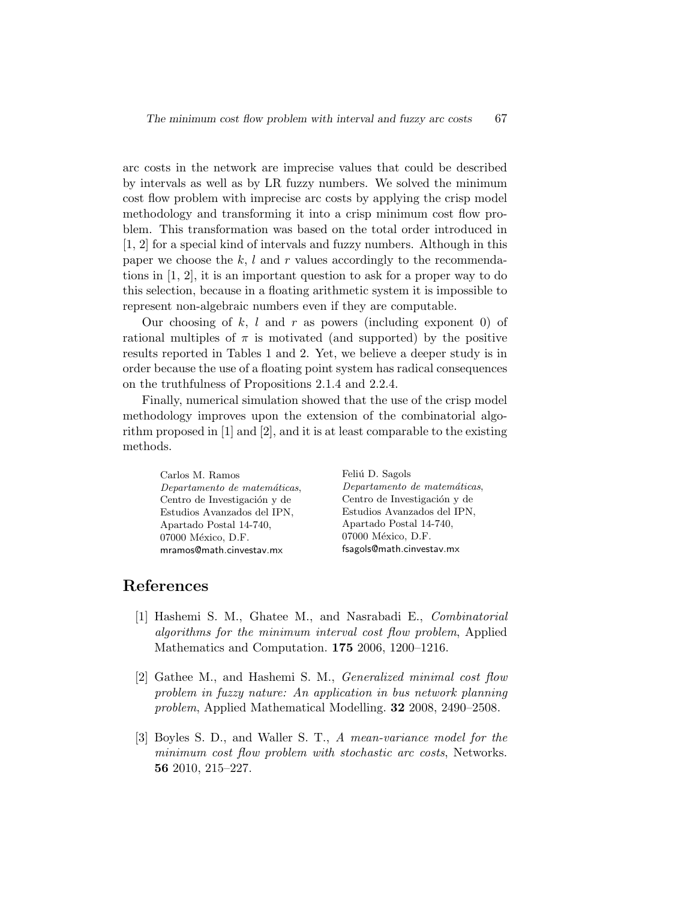arc costs in the network are imprecise values that could be described by intervals as well as by LR fuzzy numbers. We solved the minimum cost flow problem with imprecise arc costs by applying the crisp model methodology and transforming it into a crisp minimum cost flow problem. This transformation was based on the total order introduced in [1, 2] for a special kind of intervals and fuzzy numbers. Although in this paper we choose the  $k, l$  and r values accordingly to the recommendations in [1, 2], it is an important question to ask for a proper way to do this selection, because in a floating arithmetic system it is impossible to represent non-algebraic numbers even if they are computable.

Our choosing of  $k, l$  and  $r$  as powers (including exponent 0) of rational multiples of  $\pi$  is motivated (and supported) by the positive results reported in Tables 1 and 2. Yet, we believe a deeper study is in order because the use of a floating point system has radical consequences on the truthfulness of Propositions 2.1.4 and 2.2.4.

Finally, numerical simulation showed that the use of the crisp model methodology improves upon the extension of the combinatorial algorithm proposed in [1] and [2], and it is at least comparable to the existing methods.

Carlos M. Ramos Departamento de matemáticas, Centro de Investigación y de Estudios Avanzados del IPN, Apartado Postal 14-740, 07000 México, D.F. mramos@math.cinvestav.mx

Feliú D. Sagols Departamento de matemáticas, Centro de Investigación y de Estudios Avanzados del IPN, Apartado Postal 14-740, 07000 México, D.F. fsagols@math.cinvestav.mx

# References

- [1] Hashemi S. M., Ghatee M., and Nasrabadi E., Combinatorial algorithms for the minimum interval cost flow problem, Applied Mathematics and Computation. 175 2006, 1200–1216.
- [2] Gathee M., and Hashemi S. M., Generalized minimal cost flow problem in fuzzy nature: An application in bus network planning problem, Applied Mathematical Modelling. 32 2008, 2490–2508.
- [3] Boyles S. D., and Waller S. T., A mean-variance model for the minimum cost flow problem with stochastic arc costs, Networks. 56 2010, 215–227.